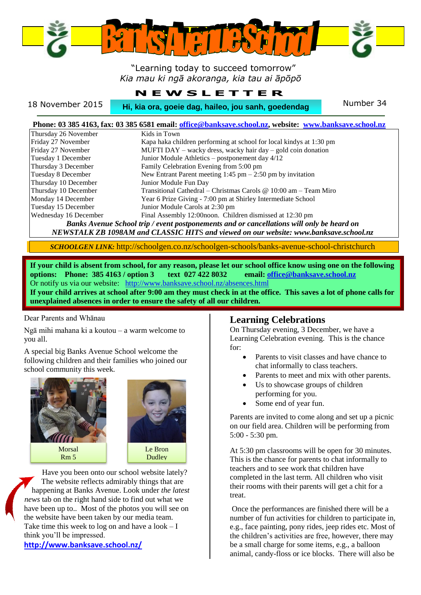

## "Learning today to succeed tomorrow" *Kia mau ki ngā akoranga, kia tau ai āpōpō*

## **N E W S L E T T E R**

18 November 2015 **Hi, kia ora, goeie dag, haileo, jou sanh, goedendag** Number 34 .

|                                                                                           | Phone: 03 385 4163, fax: 03 385 6581 email: office@banksave.school.nz, website: www.banksave.school.nz |  |  |
|-------------------------------------------------------------------------------------------|--------------------------------------------------------------------------------------------------------|--|--|
| Thursday 26 November                                                                      | Kids in Town                                                                                           |  |  |
| Friday 27 November                                                                        | Kapa haka children performing at school for local kindys at 1:30 pm                                    |  |  |
| Friday 27 November                                                                        | MUFTI DAY – wacky dress, wacky hair day – gold coin donation                                           |  |  |
| Tuesday 1 December                                                                        | Junior Module Athletics – postponement day 4/12                                                        |  |  |
| Thursday 3 December                                                                       | Family Celebration Evening from 5:00 pm                                                                |  |  |
| Tuesday 8 December                                                                        | New Entrant Parent meeting 1:45 pm $- 2:50$ pm by invitation                                           |  |  |
| Thursday 10 December                                                                      | Junior Module Fun Day                                                                                  |  |  |
| Thursday 10 December                                                                      | Transitional Cathedral – Christmas Carols $\omega$ 10:00 am – Team Miro                                |  |  |
| Monday 14 December                                                                        | Year 6 Prize Giving - 7:00 pm at Shirley Intermediate School                                           |  |  |
| Tuesday 15 December                                                                       | Junior Module Carols at 2:30 pm                                                                        |  |  |
| Wednesday 16 December                                                                     | Final Assembly 12:00 noon. Children dismissed at 12:30 pm                                              |  |  |
| Banks Avenue School trip / event postponements and or cancellations will only be heard on |                                                                                                        |  |  |

*NEWSTALK ZB 1098AM and CLASSIC HIT*S *and viewed on our website: www.banksave.school.nz*

*SCHOOLGEN LINK:* http://schoolgen.co.nz/schoolgen-schools/banks-avenue-school-christchurch

**If your child is absent from school, for any reason, please let our school office know using one on the following options: Phone: 385 4163 / option 3 text 027 422 8032 email[: office@banksave.school.nz](mailto:office@banksave.school.nz)** Or notify us via our website: <http://www.banksave.school.nz/absences.html> **If your child arrives at school after 9:00 am they must check in at the office. This saves a lot of phone calls for unexplained absences in order to ensure the safety of all our children.**

#### Dear Parents and Whānau

Ngā mihi mahana ki a koutou – a warm welcome to you all.

A special big Banks Avenue School welcome the following children and their families who joined our school community this week.





Have you been onto our school website lately? The website reflects admirably things that are happening at Banks Avenue. Look under *the latest news* tab on the right hand side to find out what we have been up to.. Most of the photos you will see on the website have been taken by our media team. Take time this week to log on and have a look  $-I$ think you'll be impressed.

**<http://www.banksave.school.nz/>**

## **Learning Celebrations**

On Thursday evening, 3 December, we have a Learning Celebration evening. This is the chance for:

- Parents to visit classes and have chance to chat informally to class teachers.
- Parents to meet and mix with other parents.
- Us to showcase groups of children performing for you.
- Some end of year fun.

Parents are invited to come along and set up a picnic on our field area. Children will be performing from 5:00 - 5:30 pm.

At 5:30 pm classrooms will be open for 30 minutes. This is the chance for parents to chat informally to teachers and to see work that children have completed in the last term. All children who visit their rooms with their parents will get a chit for a treat.

Once the performances are finished there will be a number of fun activities for children to participate in, e.g., face painting, pony rides, jeep rides etc. Most of the children's activities are free, however, there may be a small charge for some items, e.g., a balloon animal, candy-floss or ice blocks. There will also be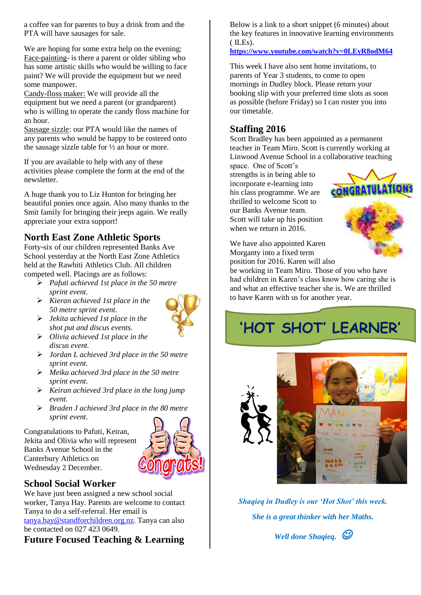a coffee van for parents to buy a drink from and the PTA will have sausages for sale.

We are hoping for some extra help on the evening: Face-painting- is there a parent or older sibling who has some artistic skills who would be willing to face paint? We will provide the equipment but we need some manpower.

Candy-floss maker: We will provide all the equipment but we need a parent (or grandparent) who is willing to operate the candy floss machine for an hour.

Sausage sizzle: our PTA would like the names of any parents who would be happy to be rostered onto the sausage sizzle table for ½ an hour or more.

If you are available to help with any of these activities please complete the form at the end of the newsletter.

A huge thank you to Liz Hunton for bringing her beautiful ponies once again. Also many thanks to the Smit family for bringing their jeeps again. We really appreciate your extra support!

# **North East Zone Athletic Sports**

Forty-six of our children represented Banks Ave School yesterday at the North East Zone Athletics held at the Rawhiti Athletics Club. All children competed well. Placings are as follows:

- *Pafuti achieved 1st place in the 50 metre sprint event.*
- *Kieran achieved 1st place in the 50 metre sprint event.*
- *Jekita achieved 1st place in the shot put and discus events.*
- *Olivia achieved 1st place in the discus event.*
- *Jordan L achieved 3rd place in the 50 metre sprint event.*
- *Meika achieved 3rd place in the 50 metre sprint event.*
- *Keiran achieved 3rd place in the long jump event.*
- *Braden J achieved 3rd place in the 80 metre sprint event.*

Congratulations to Pafuti, Keiran, Jekita and Olivia who will represent Banks Avenue School in the Canterbury Athletics on Wednesday 2 December.



# **School Social Worker**

We have just been assigned a new school social worker, Tanya Hay. Parents are welcome to contact Tanya to do a self-referral. Her email is [tanya.hay@standforchildren.org.nz.](mailto:tanya.hay@standforchildren.org.nz) Tanya can also be contacted on 027 423 0649.

**Future Focused Teaching & Learning**

Below is a link to a short snippet (6 minutes) about the key features in innovative learning environments ( ILEs).

**<https://www.youtube.com/watch?v=0LEyR8odM64>**

This week I have also sent home invitations, to parents of Year 3 students, to come to open mornings in Dudley block. Please return your booking slip with your preferred time slots as soon as possible (before Friday) so I can roster you into our timetable.

# **Staffing 2016**

Scott Bradley has been appointed as a permanent teacher in Team Miro. Scott is currently working at Linwood Avenue School in a collaborative teaching

space. One of Scott's strengths is in being able to incorporate e-learning into his class programme. We are thrilled to welcome Scott to our Banks Avenue team. Scott will take up his position when we return in 2016.



We have also appointed Karen Morganty into a fixed term position for 2016. Karen will also

be working in Team Miro. Those of you who have had children in Karen's class know how caring she is and what an effective teacher she is. We are thrilled to have Karen with us for another year.

# **'HOT SHOT' LEARNER'**



*Shaqieq in Dudley is our 'Hot Shot' this week. She is a great thinker with her Maths.*

*Well done Shaqieq.* 

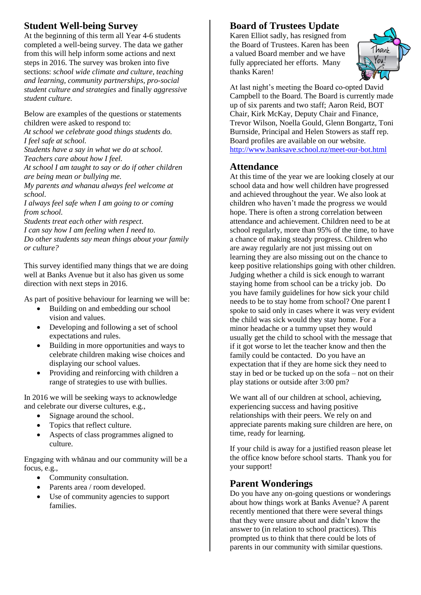## **Student Well-being Survey**

At the beginning of this term all Year 4-6 students completed a well-being survey. The data we gather from this will help inform some actions and next steps in 2016. The survey was broken into five sections: *school wide climate and culture, teaching and learning, community partnerships, pro-social student culture and strategies* and finally *aggressive student culture.*

Below are examples of the questions or statements children were asked to respond to:

*At school we celebrate good things students do. I feel safe at school.* 

*Students have a say in what we do at school.*

*Teachers care about how I feel.*

*At school I am taught to say or do if other children are being mean or bullying me.*

*My parents and whanau always feel welcome at school.*

*I always feel safe when I am going to or coming from school.*

*Students treat each other with respect. I can say how I am feeling when I need to. Do other students say mean things about your family or culture?*

This survey identified many things that we are doing well at Banks Avenue but it also has given us some direction with next steps in 2016.

As part of positive behaviour for learning we will be:

- Building on and embedding our school vision and values.
- Developing and following a set of school expectations and rules.
- Building in more opportunities and ways to celebrate children making wise choices and displaying our school values.
- Providing and reinforcing with children a range of strategies to use with bullies.

In 2016 we will be seeking ways to acknowledge and celebrate our diverse cultures, e.g.,

- Signage around the school.
- Topics that reflect culture.
- Aspects of class programmes aligned to culture.

Engaging with whānau and our community will be a focus, e.g.,

- Community consultation.
- Parents area / room developed.
- Use of community agencies to support families.

# **Board of Trustees Update**

Karen Elliot sadly, has resigned from the Board of Trustees. Karen has been a valued Board member and we have fully appreciated her efforts. Many thanks Karen!



At last night's meeting the Board co-opted David Campbell to the Board. The Board is currently made up of six parents and two staff; Aaron Reid, BOT Chair, Kirk McKay, Deputy Chair and Finance, Trevor Wilson, Noella Gould, Glenn Bongartz, Toni Burnside, Principal and Helen Stowers as staff rep. Board profiles are available on our website. <http://www.banksave.school.nz/meet-our-bot.html>

## **Attendance**

At this time of the year we are looking closely at our school data and how well children have progressed and achieved throughout the year. We also look at children who haven't made the progress we would hope. There is often a strong correlation between attendance and achievement. Children need to be at school regularly, more than 95% of the time, to have a chance of making steady progress. Children who are away regularly are not just missing out on learning they are also missing out on the chance to keep positive relationships going with other children. Judging whether a child is sick enough to warrant staying home from school can be a tricky job. Do you have family guidelines for how sick your child needs to be to stay home from school? One parent I spoke to said only in cases where it was very evident the child was sick would they stay home. For a minor headache or a tummy upset they would usually get the child to school with the message that if it got worse to let the teacher know and then the family could be contacted. Do you have an expectation that if they are home sick they need to stay in bed or be tucked up on the sofa – not on their play stations or outside after 3:00 pm?

We want all of our children at school, achieving, experiencing success and having positive relationships with their peers. We rely on and appreciate parents making sure children are here, on time, ready for learning.

If your child is away for a justified reason please let the office know before school starts. Thank you for your support!

## **Parent Wonderings**

Do you have any on-going questions or wonderings about how things work at Banks Avenue? A parent recently mentioned that there were several things that they were unsure about and didn't know the answer to (in relation to school practices). This prompted us to think that there could be lots of parents in our community with similar questions.